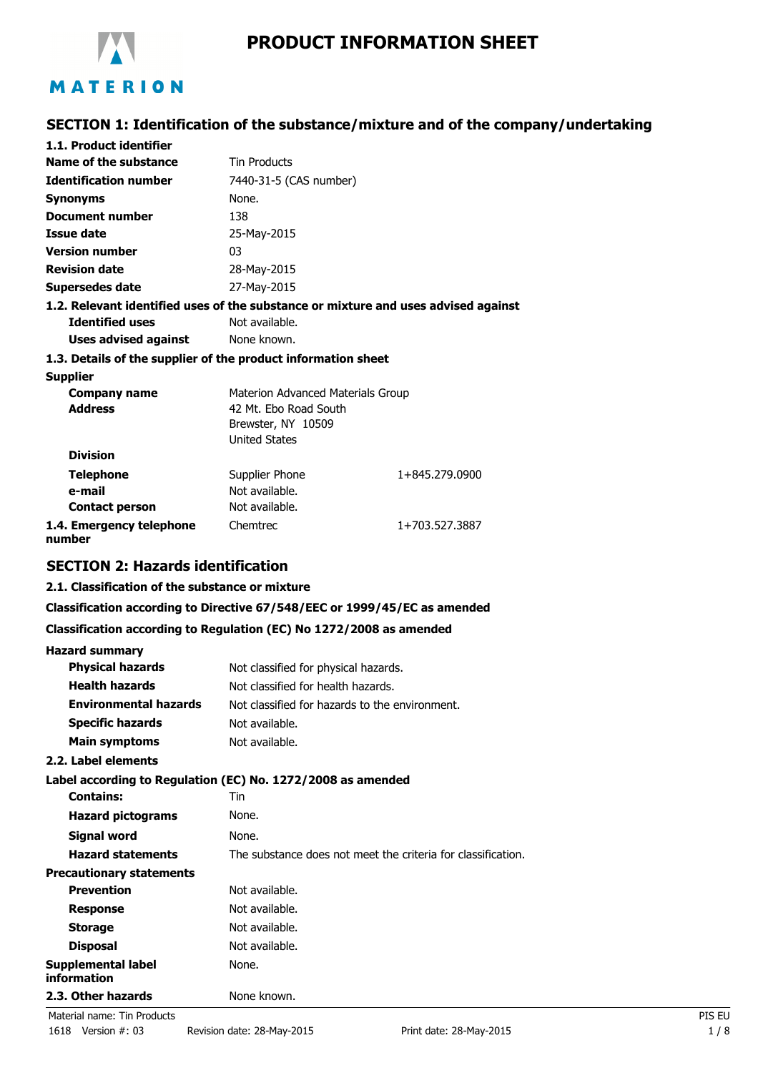

# **PRODUCT INFORMATION SHEET**

# **SECTION 1: Identification of the substance/mixture and of the company/undertaking**

| 1.1. Product identifier                                                            |                                   |                |
|------------------------------------------------------------------------------------|-----------------------------------|----------------|
| Name of the substance                                                              | <b>Tin Products</b>               |                |
| <b>Identification number</b>                                                       | 7440-31-5 (CAS number)            |                |
| <b>Synonyms</b>                                                                    | None.                             |                |
| Document number                                                                    | 138                               |                |
| Issue date                                                                         | 25-May-2015                       |                |
| <b>Version number</b>                                                              | 03                                |                |
| <b>Revision date</b>                                                               | 28-May-2015                       |                |
| <b>Supersedes date</b>                                                             | 27-May-2015                       |                |
| 1.2. Relevant identified uses of the substance or mixture and uses advised against |                                   |                |
| <b>Identified uses</b>                                                             | Not available.                    |                |
| Uses advised against                                                               | None known.                       |                |
| 1.3. Details of the supplier of the product information sheet                      |                                   |                |
| <b>Supplier</b>                                                                    |                                   |                |
| Company name                                                                       | Materion Advanced Materials Group |                |
| <b>Address</b>                                                                     | 42 Mt. Ebo Road South             |                |
|                                                                                    | Brewster, NY 10509                |                |
|                                                                                    | <b>United States</b>              |                |
| <b>Division</b>                                                                    |                                   |                |
| <b>Telephone</b>                                                                   | Supplier Phone                    | 1+845.279.0900 |
| e-mail                                                                             | Not available.                    |                |
| <b>Contact person</b>                                                              | Not available.                    |                |
| 1.4. Emergency telephone<br>number                                                 | Chemtrec                          | 1+703.527.3887 |

## **SECTION 2: Hazards identification**

### **2.1. Classification of the substance or mixture**

#### **Classification according to Directive 67/548/EEC or 1999/45/EC as amended**

#### **Classification according to Regulation (EC) No 1272/2008 as amended**

| <b>Hazard summary</b>                    |                                                              |        |
|------------------------------------------|--------------------------------------------------------------|--------|
| <b>Physical hazards</b>                  | Not classified for physical hazards.                         |        |
| <b>Health hazards</b>                    | Not classified for health hazards.                           |        |
| <b>Environmental hazards</b>             | Not classified for hazards to the environment.               |        |
| <b>Specific hazards</b>                  | Not available.                                               |        |
| <b>Main symptoms</b>                     | Not available.                                               |        |
| 2.2. Label elements                      |                                                              |        |
|                                          | Label according to Regulation (EC) No. 1272/2008 as amended  |        |
| <b>Contains:</b>                         | Tin                                                          |        |
| <b>Hazard pictograms</b>                 | None.                                                        |        |
| <b>Signal word</b>                       | None.                                                        |        |
| <b>Hazard statements</b>                 | The substance does not meet the criteria for classification. |        |
| <b>Precautionary statements</b>          |                                                              |        |
| <b>Prevention</b>                        | Not available.                                               |        |
| <b>Response</b>                          | Not available.                                               |        |
| <b>Storage</b>                           | Not available.                                               |        |
| <b>Disposal</b>                          | Not available.                                               |        |
| <b>Supplemental label</b><br>information | None.                                                        |        |
| 2.3. Other hazards                       | None known.                                                  |        |
| Material name: Tin Products              |                                                              | PIS EU |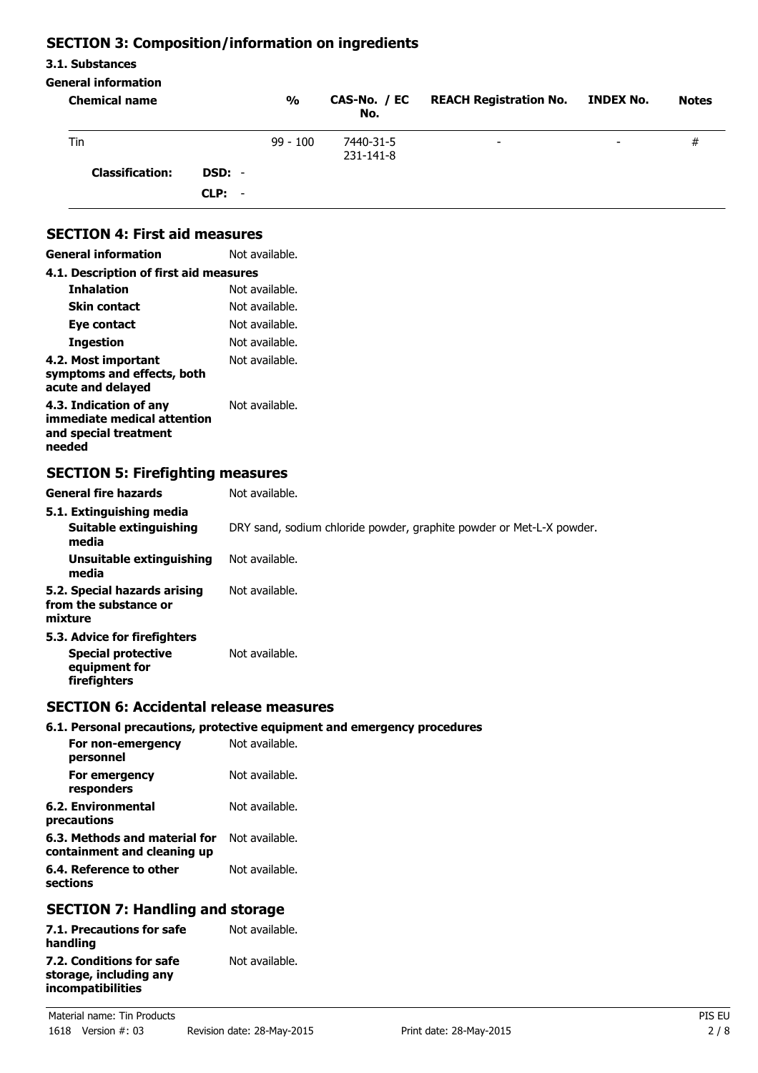# **SECTION 3: Composition/information on ingredients**

### **3.1. Substances**

#### **General information**

| <b>Chemical name</b>   |          | $\frac{0}{0}$ | CAS-No. / EC<br>No.    | <b>REACH Registration No. INDEX No.</b> |                          | <b>Notes</b> |
|------------------------|----------|---------------|------------------------|-----------------------------------------|--------------------------|--------------|
| Tin                    |          | $99 - 100$    | 7440-31-5<br>231-141-8 | $\overline{\phantom{0}}$                | $\overline{\phantom{0}}$ | #            |
| <b>Classification:</b> | DSD: -   |               |                        |                                         |                          |              |
|                        | $CLP: -$ |               |                        |                                         |                          |              |

# **SECTION 4: First aid measures**

| General information                                                                      | Not available. |
|------------------------------------------------------------------------------------------|----------------|
| 4.1. Description of first aid measures                                                   |                |
| <b>Inhalation</b>                                                                        | Not available. |
| <b>Skin contact</b>                                                                      | Not available. |
| Eye contact                                                                              | Not available. |
| <b>Ingestion</b>                                                                         | Not available. |
| 4.2. Most important<br>symptoms and effects, both<br>acute and delayed                   | Not available. |
| 4.3. Indication of any<br>immediate medical attention<br>and special treatment<br>needed | Not available. |

# **SECTION 5: Firefighting measures**

| <b>General fire hazards</b>                                                                | Not available.                                                       |
|--------------------------------------------------------------------------------------------|----------------------------------------------------------------------|
| 5.1. Extinguishing media                                                                   |                                                                      |
| Suitable extinguishing<br>media                                                            | DRY sand, sodium chloride powder, graphite powder or Met-L-X powder. |
| Unsuitable extinguishing<br>media                                                          | Not available.                                                       |
| 5.2. Special hazards arising<br>from the substance or<br>mixture                           | Not available.                                                       |
| 5.3. Advice for firefighters<br><b>Special protective</b><br>equipment for<br>firefighters | Not available.                                                       |

# **SECTION 6: Accidental release measures**

### **6.1. Personal precautions, protective equipment and emergency procedures**

| For non-emergency<br>personnel                               | Not available. |
|--------------------------------------------------------------|----------------|
| For emergency<br>responders                                  | Not available. |
| 6.2. Environmental<br>precautions                            | Not available. |
| 6.3. Methods and material for<br>containment and cleaning up | Not available. |
| 6.4. Reference to other<br>sections                          | Not available. |

## **SECTION 7: Handling and storage**

| Not available. |
|----------------|
|                |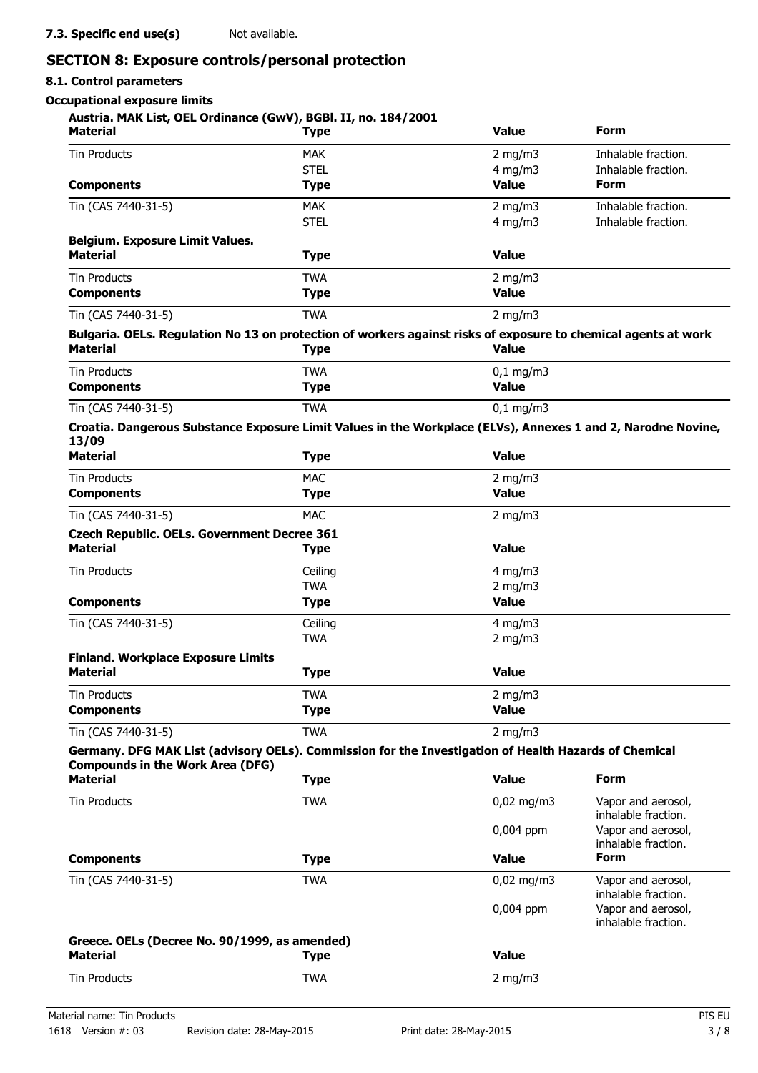# **SECTION 8: Exposure controls/personal protection**

# **8.1. Control parameters**

**Occupational exposure limits**

### **Austria. MAK List, OEL Ordinance (GwV), BGBl. II, no. 184/2001**

| <b>Material</b>                                                                                                                   | <b>Type</b>               | <b>Value</b>                 | Form                                      |
|-----------------------------------------------------------------------------------------------------------------------------------|---------------------------|------------------------------|-------------------------------------------|
| <b>Tin Products</b>                                                                                                               | <b>MAK</b>                | $2$ mg/m $3$                 | Inhalable fraction.                       |
|                                                                                                                                   | <b>STEL</b>               | $4$ mg/m $3$                 | Inhalable fraction.                       |
| <b>Components</b>                                                                                                                 | <b>Type</b>               | <b>Value</b>                 | <b>Form</b>                               |
| Tin (CAS 7440-31-5)                                                                                                               | <b>MAK</b>                | $2$ mg/m $3$                 | Inhalable fraction.                       |
|                                                                                                                                   | <b>STEL</b>               | $4$ mg/m $3$                 | Inhalable fraction.                       |
| <b>Belgium. Exposure Limit Values.</b>                                                                                            |                           |                              |                                           |
| <b>Material</b>                                                                                                                   | <b>Type</b>               | <b>Value</b>                 |                                           |
| <b>Tin Products</b>                                                                                                               | <b>TWA</b>                | $2$ mg/m $3$                 |                                           |
| <b>Components</b>                                                                                                                 | <b>Type</b>               | <b>Value</b>                 |                                           |
| Tin (CAS 7440-31-5)                                                                                                               | <b>TWA</b>                | $2$ mg/m $3$                 |                                           |
| Bulgaria. OELs. Regulation No 13 on protection of workers against risks of exposure to chemical agents at work<br><b>Material</b> | Type                      | <b>Value</b>                 |                                           |
| <b>Tin Products</b>                                                                                                               | <b>TWA</b>                | $0,1$ mg/m3                  |                                           |
| <b>Components</b>                                                                                                                 | <b>Type</b>               | <b>Value</b>                 |                                           |
| Tin (CAS 7440-31-5)                                                                                                               | <b>TWA</b>                | $0,1$ mg/m3                  |                                           |
| Croatia. Dangerous Substance Exposure Limit Values in the Workplace (ELVs), Annexes 1 and 2, Narodne Novine,                      |                           |                              |                                           |
| 13/09                                                                                                                             |                           |                              |                                           |
| <b>Material</b>                                                                                                                   | <b>Type</b>               | <b>Value</b>                 |                                           |
| <b>Tin Products</b>                                                                                                               | <b>MAC</b>                | $2$ mg/m $3$                 |                                           |
| <b>Components</b>                                                                                                                 | <b>Type</b>               | <b>Value</b>                 |                                           |
| Tin (CAS 7440-31-5)                                                                                                               | <b>MAC</b>                | 2 mg/m $3$                   |                                           |
| <b>Czech Republic. OELs. Government Decree 361</b><br><b>Material</b>                                                             | <b>Type</b>               | <b>Value</b>                 |                                           |
|                                                                                                                                   |                           |                              |                                           |
| <b>Tin Products</b>                                                                                                               | Ceiling                   | $4$ mg/m $3$                 |                                           |
| <b>Components</b>                                                                                                                 | <b>TWA</b><br><b>Type</b> | $2$ mg/m $3$<br><b>Value</b> |                                           |
| Tin (CAS 7440-31-5)                                                                                                               | Ceiling                   | $4$ mg/m $3$                 |                                           |
|                                                                                                                                   | <b>TWA</b>                | $2$ mg/m $3$                 |                                           |
| <b>Finland. Workplace Exposure Limits</b>                                                                                         |                           |                              |                                           |
| Material                                                                                                                          | <b>Type</b>               | <b>Value</b>                 |                                           |
| Tin Products                                                                                                                      | TWA                       | $2 \text{ ma/m}$             |                                           |
| <b>Components</b>                                                                                                                 | <b>Type</b>               | <b>Value</b>                 |                                           |
| Tin (CAS 7440-31-5)                                                                                                               | <b>TWA</b>                | $2$ mg/m $3$                 |                                           |
| Germany. DFG MAK List (advisory OELs). Commission for the Investigation of Health Hazards of Chemical                             |                           |                              |                                           |
| <b>Compounds in the Work Area (DFG)</b>                                                                                           |                           |                              |                                           |
| <b>Material</b>                                                                                                                   | <b>Type</b>               | <b>Value</b>                 | <b>Form</b>                               |
| <b>Tin Products</b>                                                                                                               | <b>TWA</b>                | $0,02$ mg/m3                 | Vapor and aerosol,<br>inhalable fraction. |
|                                                                                                                                   |                           | 0,004 ppm                    | Vapor and aerosol,<br>inhalable fraction. |
| <b>Components</b>                                                                                                                 | <b>Type</b>               | <b>Value</b>                 | <b>Form</b>                               |
| Tin (CAS 7440-31-5)                                                                                                               | <b>TWA</b>                | $0,02$ mg/m3                 | Vapor and aerosol,<br>inhalable fraction. |
|                                                                                                                                   |                           | 0,004 ppm                    | Vapor and aerosol,<br>inhalable fraction. |
| Greece. OELs (Decree No. 90/1999, as amended)                                                                                     |                           |                              |                                           |
| <b>Material</b>                                                                                                                   | <b>Type</b>               | <b>Value</b>                 |                                           |
|                                                                                                                                   |                           |                              |                                           |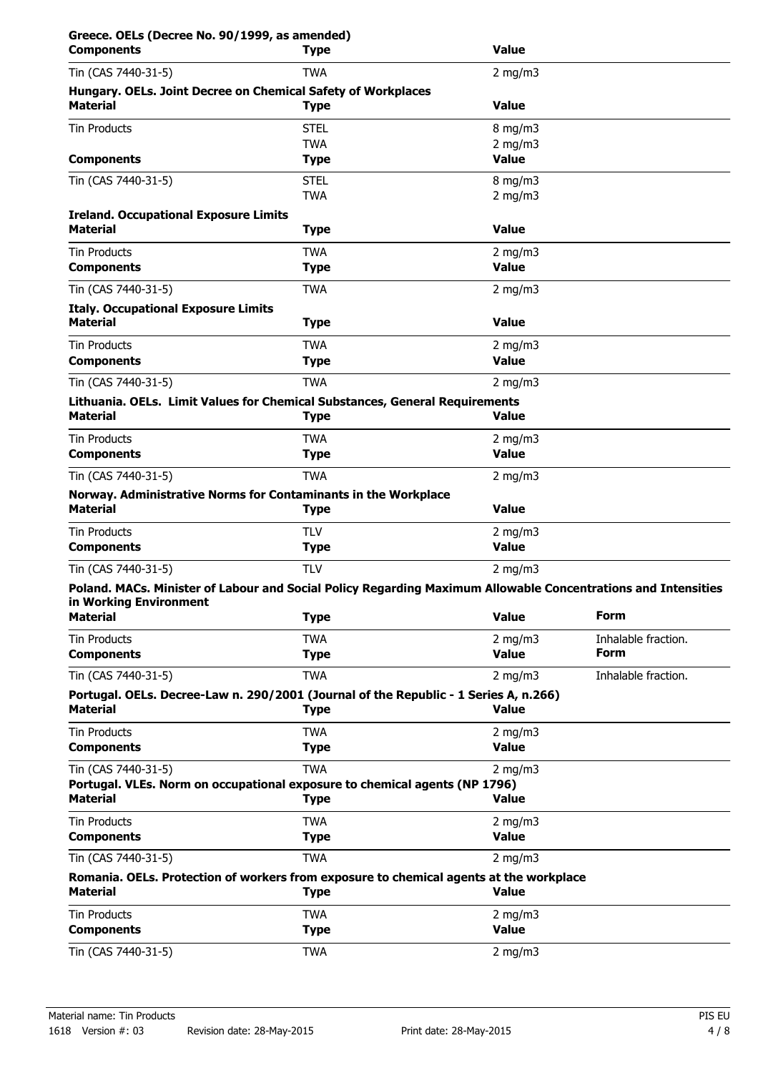| Greece. OELs (Decree No. 90/1999, as amended)<br><b>Components</b> | <b>Type</b>                                                                                                   | <b>Value</b>                 |                     |
|--------------------------------------------------------------------|---------------------------------------------------------------------------------------------------------------|------------------------------|---------------------|
| Tin (CAS 7440-31-5)                                                | <b>TWA</b>                                                                                                    | $2$ mg/m $3$                 |                     |
|                                                                    | Hungary. OELs. Joint Decree on Chemical Safety of Workplaces                                                  |                              |                     |
| <b>Material</b>                                                    | <b>Type</b>                                                                                                   | <b>Value</b>                 |                     |
| <b>Tin Products</b>                                                | <b>STEL</b>                                                                                                   | $8$ mg/m $3$                 |                     |
|                                                                    | <b>TWA</b>                                                                                                    | $2$ mg/m $3$<br><b>Value</b> |                     |
| <b>Components</b>                                                  | <b>Type</b>                                                                                                   |                              |                     |
| Tin (CAS 7440-31-5)                                                | <b>STEL</b><br><b>TWA</b>                                                                                     | $8$ mg/m $3$<br>$2$ mg/m $3$ |                     |
| <b>Ireland. Occupational Exposure Limits</b>                       |                                                                                                               |                              |                     |
| <b>Material</b>                                                    | <b>Type</b>                                                                                                   | <b>Value</b>                 |                     |
| <b>Tin Products</b>                                                | <b>TWA</b>                                                                                                    | 2 mg/m $3$                   |                     |
| <b>Components</b>                                                  | <b>Type</b>                                                                                                   | <b>Value</b>                 |                     |
| Tin (CAS 7440-31-5)                                                | <b>TWA</b>                                                                                                    | 2 mg/m $3$                   |                     |
| <b>Italy. Occupational Exposure Limits</b>                         |                                                                                                               |                              |                     |
| <b>Material</b>                                                    | <b>Type</b>                                                                                                   | <b>Value</b>                 |                     |
| <b>Tin Products</b>                                                | <b>TWA</b>                                                                                                    | $2$ mg/m $3$                 |                     |
| <b>Components</b>                                                  | <b>Type</b>                                                                                                   | <b>Value</b>                 |                     |
| Tin (CAS 7440-31-5)                                                | <b>TWA</b>                                                                                                    | 2 mg/m $3$                   |                     |
| <b>Material</b>                                                    | Lithuania. OELs. Limit Values for Chemical Substances, General Requirements<br><b>Type</b>                    | <b>Value</b>                 |                     |
|                                                                    |                                                                                                               |                              |                     |
| Tin Products<br><b>Components</b>                                  | <b>TWA</b><br><b>Type</b>                                                                                     | 2 mg/m $3$<br><b>Value</b>   |                     |
|                                                                    |                                                                                                               |                              |                     |
| Tin (CAS 7440-31-5)                                                | <b>TWA</b><br>Norway. Administrative Norms for Contaminants in the Workplace                                  | 2 mg/m $3$                   |                     |
| <b>Material</b>                                                    | <b>Type</b>                                                                                                   | <b>Value</b>                 |                     |
| <b>Tin Products</b>                                                | <b>TLV</b>                                                                                                    | 2 mg/m $3$                   |                     |
| <b>Components</b>                                                  | <b>Type</b>                                                                                                   | <b>Value</b>                 |                     |
| Tin (CAS 7440-31-5)                                                | <b>TLV</b>                                                                                                    | 2 mg/m $3$                   |                     |
|                                                                    | Poland. MACs. Minister of Labour and Social Policy Regarding Maximum Allowable Concentrations and Intensities |                              |                     |
| in Working Environment<br><b>Material</b>                          | <b>Type</b>                                                                                                   | <b>Value</b>                 | <b>Form</b>         |
| <b>Tin Products</b>                                                | <b>TWA</b>                                                                                                    | 2 mg/m $3$                   | Inhalable fraction. |
| <b>Components</b>                                                  | <b>Type</b>                                                                                                   | <b>Value</b>                 | <b>Form</b>         |
| Tin (CAS 7440-31-5)                                                | <b>TWA</b>                                                                                                    | 2 mg/m $3$                   | Inhalable fraction. |
| <b>Material</b>                                                    | Portugal. OELs. Decree-Law n. 290/2001 (Journal of the Republic - 1 Series A, n.266)                          | <b>Value</b>                 |                     |
|                                                                    | <b>Type</b>                                                                                                   |                              |                     |
| <b>Tin Products</b><br><b>Components</b>                           | <b>TWA</b><br><b>Type</b>                                                                                     | 2 mg/m $3$<br><b>Value</b>   |                     |
|                                                                    |                                                                                                               |                              |                     |
| Tin (CAS 7440-31-5)                                                | <b>TWA</b><br>Portugal. VLEs. Norm on occupational exposure to chemical agents (NP 1796)                      | 2 mg/m $3$                   |                     |
| <b>Material</b>                                                    | <b>Type</b>                                                                                                   | <b>Value</b>                 |                     |
| <b>Tin Products</b>                                                | <b>TWA</b>                                                                                                    | 2 mg/m $3$                   |                     |
| <b>Components</b>                                                  | <b>Type</b>                                                                                                   | <b>Value</b>                 |                     |
| Tin (CAS 7440-31-5)                                                | <b>TWA</b>                                                                                                    | 2 mg/m $3$                   |                     |
| <b>Material</b>                                                    | Romania. OELs. Protection of workers from exposure to chemical agents at the workplace<br><b>Type</b>         | <b>Value</b>                 |                     |
| <b>Tin Products</b><br><b>Components</b>                           | <b>TWA</b><br><b>Type</b>                                                                                     | 2 mg/m $3$<br><b>Value</b>   |                     |
| Tin (CAS 7440-31-5)                                                | <b>TWA</b>                                                                                                    | 2 mg/m $3$                   |                     |
|                                                                    |                                                                                                               |                              |                     |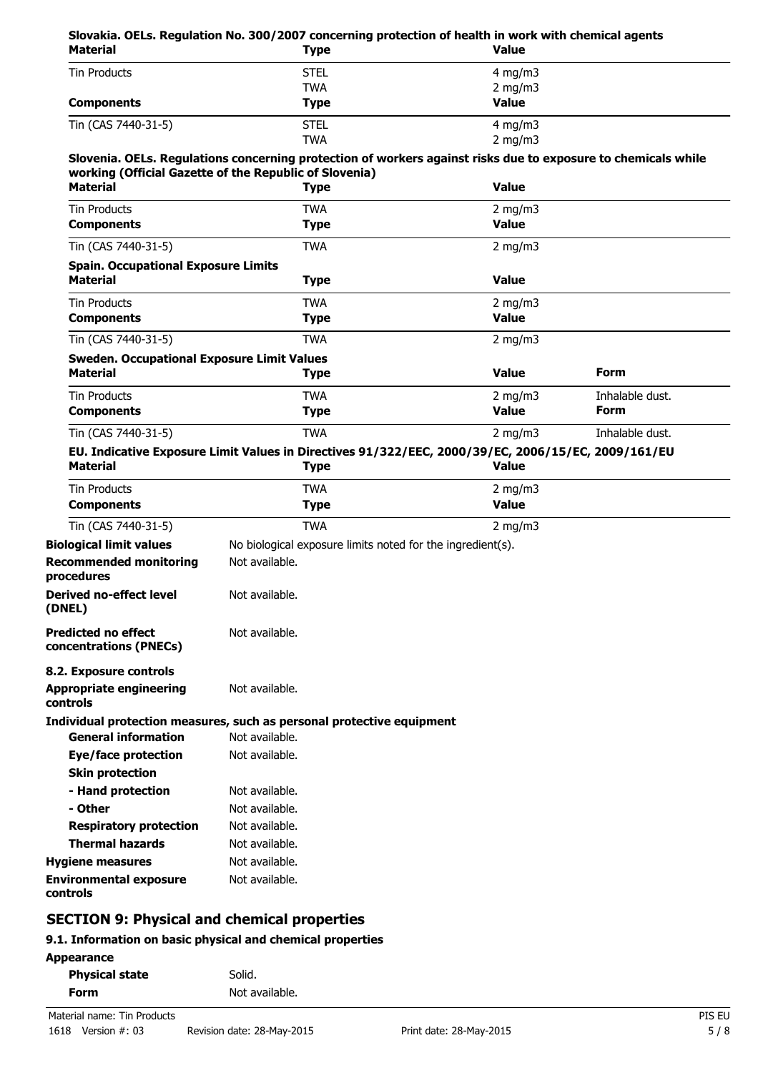#### **Slovakia. OELs. Regulation No. 300/2007 concerning protection of health in work with chemical agents Material Type Value**

| Malenar             | i ype       | value        |  |
|---------------------|-------------|--------------|--|
| Tin Products        | <b>STEL</b> | 4 mg/m $3$   |  |
|                     | TWA         | 2 mg/m $3$   |  |
| <b>Components</b>   | <b>Type</b> | <b>Value</b> |  |
| Tin (CAS 7440-31-5) | <b>STEL</b> | $4$ mg/m $3$ |  |
|                     | <b>TWA</b>  | 2 mg/m $3$   |  |

#### **Slovenia. OELs. Regulations concerning protection of workers against risks due to exposure to chemicals while working (Official Gazette of the Republic of Slovenia)**

| <b>Material</b>                                   | <b>Type</b> | <b>Value</b>     |                 |
|---------------------------------------------------|-------------|------------------|-----------------|
| <b>Tin Products</b>                               | TWA         | $2 \text{ mg/m}$ |                 |
| <b>Components</b>                                 | <b>Type</b> | <b>Value</b>     |                 |
| Tin (CAS 7440-31-5)                               | <b>TWA</b>  | 2 mg/m $3$       |                 |
| <b>Spain. Occupational Exposure Limits</b>        |             |                  |                 |
| <b>Material</b>                                   | <b>Type</b> | <b>Value</b>     |                 |
| <b>Tin Products</b>                               | <b>TWA</b>  | 2 mg/m $3$       |                 |
| <b>Components</b>                                 | <b>Type</b> | <b>Value</b>     |                 |
| Tin (CAS 7440-31-5)                               | <b>TWA</b>  | 2 mg/m $3$       |                 |
| <b>Sweden. Occupational Exposure Limit Values</b> |             |                  |                 |
| <b>Material</b>                                   | <b>Type</b> | <b>Value</b>     | Form            |
| <b>Tin Products</b>                               | <b>TWA</b>  | $2 \text{ mg/m}$ | Inhalable dust. |
| <b>Components</b>                                 | <b>Type</b> | Value            | <b>Form</b>     |
| Tin (CAS 7440-31-5)                               | <b>TWA</b>  | $2 \text{ mg/m}$ | Inhalable dust. |

#### **EU. Indicative Exposure Limit Values in Directives 91/322/EEC, 2000/39/EC, 2006/15/EC, 2009/161/EU Material**

| <b>Tin Products</b>                                                  | <b>TWA</b>                                                            | 2 mg/m $3$   |  |
|----------------------------------------------------------------------|-----------------------------------------------------------------------|--------------|--|
| <b>Components</b>                                                    | <b>Type</b>                                                           | <b>Value</b> |  |
| Tin (CAS 7440-31-5)                                                  | <b>TWA</b>                                                            | 2 mg/m $3$   |  |
| <b>Biological limit values</b>                                       | No biological exposure limits noted for the ingredient(s).            |              |  |
| <b>Recommended monitoring</b><br>procedures                          | Not available.                                                        |              |  |
| <b>Derived no-effect level</b><br>(DNEL)                             | Not available.                                                        |              |  |
| <b>Predicted no effect</b><br>concentrations (PNECs)                 | Not available.                                                        |              |  |
| 8.2. Exposure controls<br><b>Appropriate engineering</b><br>controls | Not available.                                                        |              |  |
|                                                                      | Individual protection measures, such as personal protective equipment |              |  |
| <b>General information</b>                                           | Not available.                                                        |              |  |
| Eye/face protection                                                  | Not available.                                                        |              |  |
| <b>Skin protection</b>                                               |                                                                       |              |  |
| - Hand protection                                                    | Not available.                                                        |              |  |
| - Other                                                              | Not available.                                                        |              |  |
| <b>Respiratory protection</b>                                        | Not available.                                                        |              |  |
| <b>Thermal hazards</b>                                               | Not available.                                                        |              |  |
| <b>Hygiene measures</b>                                              | Not available.                                                        |              |  |
| <b>Environmental exposure</b><br>controls                            | Not available.                                                        |              |  |
|                                                                      |                                                                       |              |  |

# **SECTION 9: Physical and chemical properties**

### **9.1. Information on basic physical and chemical properties**

| <b>Physical state</b> | Solid.         |
|-----------------------|----------------|
| Form                  | Not available. |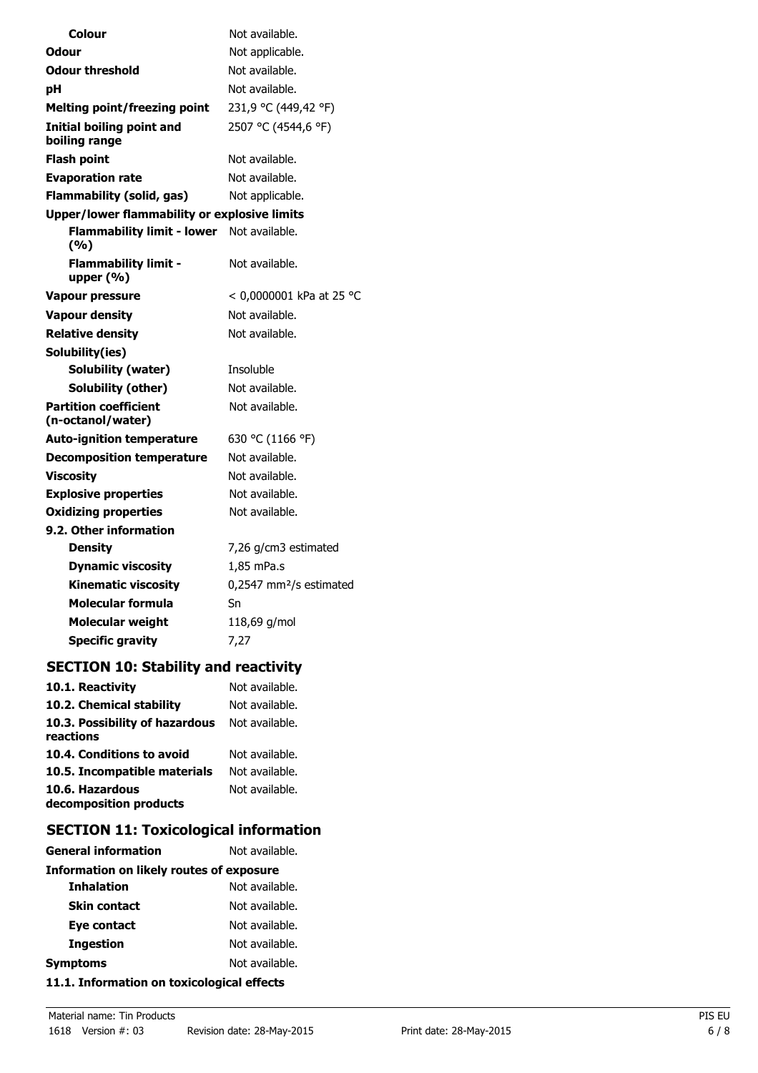| Colour                                              | Not available.                      |  |
|-----------------------------------------------------|-------------------------------------|--|
| Odour                                               | Not applicable.                     |  |
| <b>Odour threshold</b>                              | Not available.                      |  |
| рH                                                  | Not available.                      |  |
| <b>Melting point/freezing point</b>                 | 231,9 °C (449,42 °F)                |  |
| Initial boiling point and<br>boiling range          | 2507 °C (4544,6 °F)                 |  |
| <b>Flash point</b>                                  | Not available.                      |  |
| <b>Evaporation rate</b>                             | Not available.                      |  |
| <b>Flammability (solid, gas)</b>                    | Not applicable.                     |  |
| <b>Upper/lower flammability or explosive limits</b> |                                     |  |
| <b>Flammability limit - lower</b><br>(%)            | Not available.                      |  |
| <b>Flammability limit -</b><br>upper $(% )$         | Not available.                      |  |
| <b>Vapour pressure</b>                              | < 0,0000001 kPa at 25 °C            |  |
| <b>Vapour density</b>                               | Not available.                      |  |
| <b>Relative density</b>                             | Not available.                      |  |
| Solubility(ies)                                     |                                     |  |
| Solubility (water)                                  | Insoluble                           |  |
| Solubility (other)                                  | Not available.                      |  |
| <b>Partition coefficient</b><br>(n-octanol/water)   | Not available.                      |  |
| <b>Auto-ignition temperature</b>                    | 630 °C (1166 °F)                    |  |
| <b>Decomposition temperature</b>                    | Not available.                      |  |
| <b>Viscosity</b>                                    | Not available.                      |  |
| <b>Explosive properties</b>                         | Not available.                      |  |
| <b>Oxidizing properties</b>                         | Not available.                      |  |
| 9.2. Other information                              |                                     |  |
| <b>Density</b>                                      | 7,26 g/cm3 estimated                |  |
| <b>Dynamic viscosity</b>                            | 1,85 mPa.s                          |  |
| <b>Kinematic viscosity</b>                          | 0,2547 mm <sup>2</sup> /s estimated |  |
| Molecular formula                                   | Sn                                  |  |
| <b>Molecular weight</b>                             | 118,69 g/mol                        |  |
| <b>Specific gravity</b>                             | 7,27                                |  |

# **SECTION 10: Stability and reactivity**

| 10.1. Reactivity                            | Not available. |
|---------------------------------------------|----------------|
| 10.2. Chemical stability                    | Not available. |
| 10.3. Possibility of hazardous<br>reactions | Not available. |
| 10.4. Conditions to avoid                   | Not available. |
| 10.5. Incompatible materials                | Not available. |
| 10.6. Hazardous<br>decomposition products   | Not available. |

# **SECTION 11: Toxicological information**

| <b>General information</b>                      | Not available. |  |
|-------------------------------------------------|----------------|--|
| <b>Information on likely routes of exposure</b> |                |  |
| <b>Inhalation</b>                               | Not available. |  |
| <b>Skin contact</b>                             | Not available. |  |
| Eye contact                                     | Not available. |  |
| <b>Ingestion</b>                                | Not available. |  |
| <b>Symptoms</b>                                 | Not available. |  |
|                                                 |                |  |

# **11.1. Information on toxicological effects**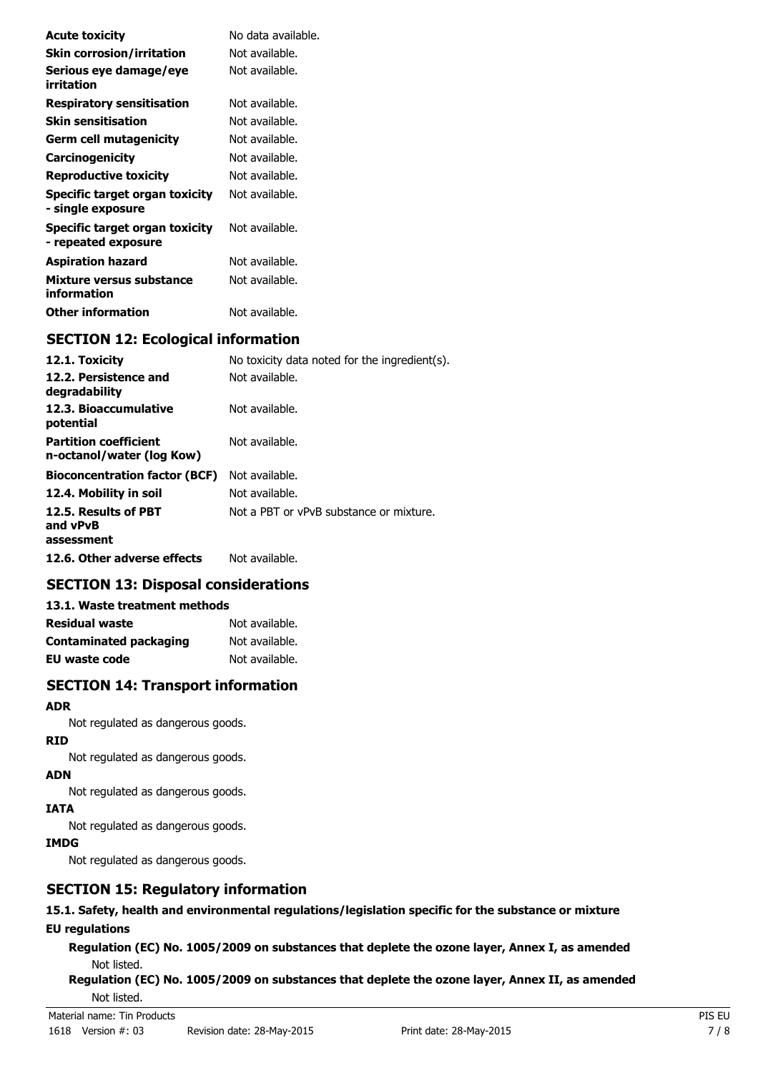| <b>Acute toxicity</b>                                 | No data available. |
|-------------------------------------------------------|--------------------|
| <b>Skin corrosion/irritation</b>                      | Not available.     |
| Serious eye damage/eye<br>irritation                  | Not available.     |
| <b>Respiratory sensitisation</b>                      | Not available.     |
| Skin sensitisation                                    | Not available.     |
| Germ cell mutagenicity                                | Not available.     |
| Carcinogenicity                                       | Not available.     |
| Reproductive toxicity                                 | Not available.     |
| Specific target organ toxicity<br>- single exposure   | Not available.     |
| Specific target organ toxicity<br>- repeated exposure | Not available.     |
| <b>Aspiration hazard</b>                              | Not available.     |
| Mixture versus substance<br>information               | Not available.     |
| Other information                                     | Not available.     |

## **SECTION 12: Ecological information**

| 12.1. Toxicity                                            | No toxicity data noted for the ingredient(s). |
|-----------------------------------------------------------|-----------------------------------------------|
| 12.2. Persistence and<br>degradability                    | Not available.                                |
| 12.3. Bioaccumulative<br>potential                        | Not available.                                |
| <b>Partition coefficient</b><br>n-octanol/water (log Kow) | Not available.                                |
| <b>Bioconcentration factor (BCF)</b>                      | Not available.                                |
| 12.4. Mobility in soil                                    | Not available.                                |
| 12.5. Results of PBT<br>and vPvB<br>assessment            | Not a PBT or vPvB substance or mixture.       |
| 12.6. Other adverse effects                               | Not available.                                |

# **SECTION 13: Disposal considerations**

#### **13.1. Waste treatment methods**

| <b>Residual waste</b>  | Not available. |
|------------------------|----------------|
| Contaminated packaging | Not available. |
| EU waste code          | Not available. |

## **SECTION 14: Transport information**

#### **ADR**

Not regulated as dangerous goods.

#### **RID**

Not regulated as dangerous goods.

### **ADN**

Not regulated as dangerous goods.

### **IATA**

Not regulated as dangerous goods.

### **IMDG**

Not regulated as dangerous goods.

## **SECTION 15: Regulatory information**

### **15.1. Safety, health and environmental regulations/legislation specific for the substance or mixture**

# **EU regulations**

**Regulation (EC) No. 1005/2009 on substances that deplete the ozone layer, Annex I, as amended** Not listed.

**Regulation (EC) No. 1005/2009 on substances that deplete the ozone layer, Annex II, as amended** Not listed.